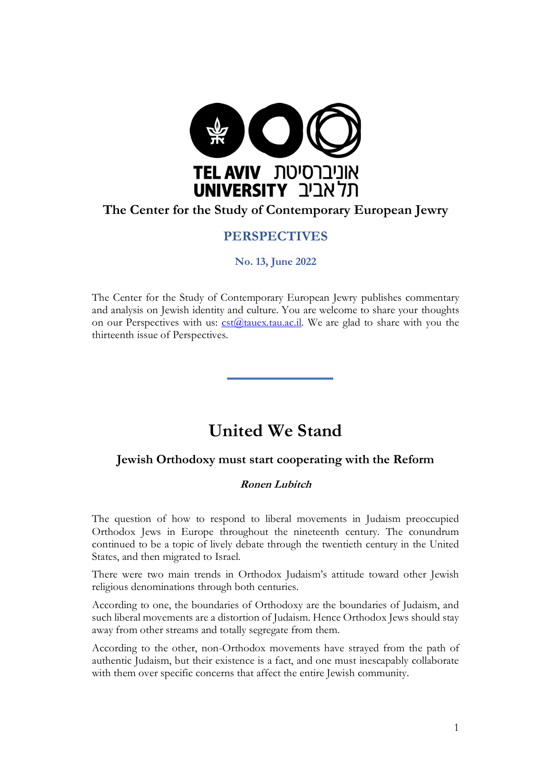

# **The Center for the Study of Contemporary European Jewry**

## **PERSPECTIVES**

### **No. 13, June 2022**

The Center for the Study of Contemporary European Jewry publishes commentary and analysis on Jewish identity and culture. You are welcome to share your thoughts on our Perspectives with us:  $cst@tauex.tau.ac.i!$ . We are glad to share with you the thirteenth issue of Perspectives.

# **United We Stand**

## **Jewish Orthodoxy must start cooperating with the Reform**

### **Ronen Lubitch**

The question of how to respond to liberal movements in Judaism preoccupied Orthodox Jews in Europe throughout the nineteenth century. The conundrum continued to be a topic of lively debate through the twentieth century in the United States, and then migrated to Israel.

There were two main trends in Orthodox Judaism's attitude toward other Jewish religious denominations through both centuries.

According to one, the boundaries of Orthodoxy are the boundaries of Judaism, and such liberal movements are a distortion of Judaism. Hence Orthodox Jews should stay away from other streams and totally segregate from them.

According to the other, non-Orthodox movements have strayed from the path of authentic Judaism, but their existence is a fact, and one must inescapably collaborate with them over specific concerns that affect the entire Jewish community.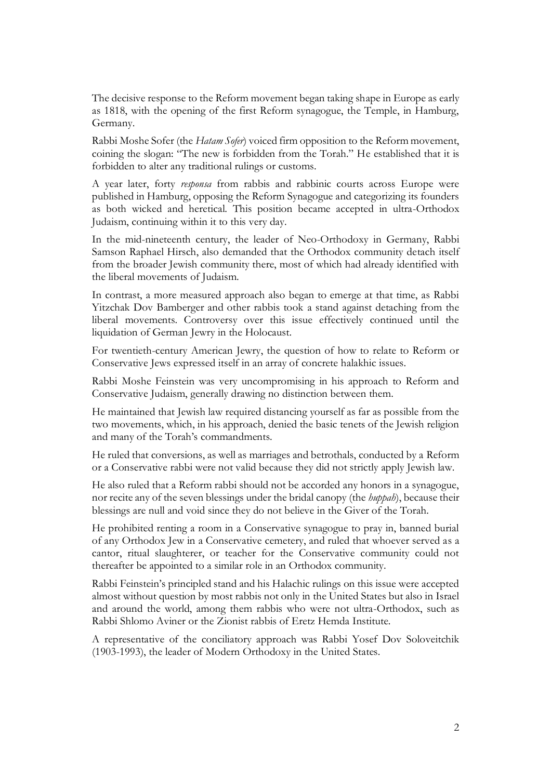The decisive response to the Reform movement began taking shape in Europe as early as 1818, with the opening of the first Reform synagogue, the Temple, in Hamburg, Germany.

Rabbi Moshe Sofer (the *Hatam Sofer*) voiced firm opposition to the Reform movement, coining the slogan: "The new is forbidden from the Torah." He established that it is forbidden to alter any traditional rulings or customs.

A year later, forty *responsa* from rabbis and rabbinic courts across Europe were published in Hamburg, opposing the Reform Synagogue and categorizing its founders as both wicked and heretical. This position became accepted in ultra-Orthodox Judaism, continuing within it to this very day.

In the mid-nineteenth century, the leader of Neo-Orthodoxy in Germany, Rabbi Samson Raphael Hirsch, also demanded that the Orthodox community detach itself from the broader Jewish community there, most of which had already identified with the liberal movements of Judaism.

In contrast, a more measured approach also began to emerge at that time, as Rabbi Yitzchak Dov Bamberger and other rabbis took a stand against detaching from the liberal movements. Controversy over this issue effectively continued until the liquidation of German Jewry in the Holocaust.

For twentieth-century American Jewry, the question of how to relate to Reform or Conservative Jews expressed itself in an array of concrete halakhic issues.

Rabbi Moshe Feinstein was very uncompromising in his approach to Reform and Conservative Judaism, generally drawing no distinction between them.

He maintained that Jewish law required distancing yourself as far as possible from the two movements, which, in his approach, denied the basic tenets of the Jewish religion and many of the Torah's commandments.

He ruled that conversions, as well as marriages and betrothals, conducted by a Reform or a Conservative rabbi were not valid because they did not strictly apply Jewish law.

He also ruled that a Reform rabbi should not be accorded any honors in a synagogue, nor recite any of the seven blessings under the bridal canopy (the *huppah*), because their blessings are null and void since they do not believe in the Giver of the Torah.

He prohibited renting a room in a Conservative synagogue to pray in, banned burial of any Orthodox Jew in a Conservative cemetery, and ruled that whoever served as a cantor, ritual slaughterer, or teacher for the Conservative community could not thereafter be appointed to a similar role in an Orthodox community.

Rabbi Feinstein's principled stand and his Halachic rulings on this issue were accepted almost without question by most rabbis not only in the United States but also in Israel and around the world, among them rabbis who were not ultra-Orthodox, such as Rabbi Shlomo Aviner or the Zionist rabbis of Eretz Hemda Institute.

A representative of the conciliatory approach was Rabbi Yosef Dov Soloveitchik (1903-1993), the leader of Modern Orthodoxy in the United States.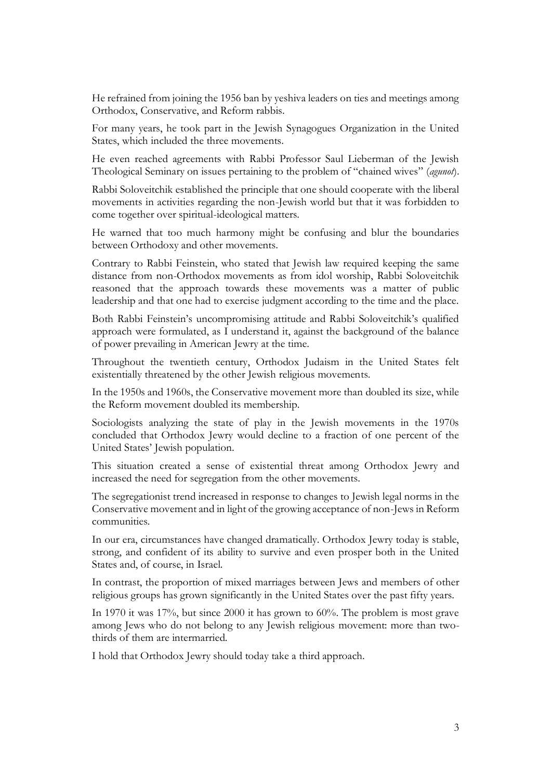He refrained from joining the 1956 ban by yeshiva leaders on ties and meetings among Orthodox, Conservative, and Reform rabbis.

For many years, he took part in the Jewish Synagogues Organization in the United States, which included the three movements.

He even reached agreements with Rabbi Professor Saul Lieberman of the Jewish Theological Seminary on issues pertaining to the problem of "chained wives" (*agunot*).

Rabbi Soloveitchik established the principle that one should cooperate with the liberal movements in activities regarding the non-Jewish world but that it was forbidden to come together over spiritual-ideological matters.

He warned that too much harmony might be confusing and blur the boundaries between Orthodoxy and other movements.

Contrary to Rabbi Feinstein, who stated that Jewish law required keeping the same distance from non-Orthodox movements as from idol worship, Rabbi Soloveitchik reasoned that the approach towards these movements was a matter of public leadership and that one had to exercise judgment according to the time and the place.

Both Rabbi Feinstein's uncompromising attitude and Rabbi Soloveitchik's qualified approach were formulated, as I understand it, against the background of the balance of power prevailing in American Jewry at the time.

Throughout the twentieth century, Orthodox Judaism in the United States felt existentially threatened by the other Jewish religious movements.

In the 1950s and 1960s, the Conservative movement more than doubled its size, while the Reform movement doubled its membership.

Sociologists analyzing the state of play in the Jewish movements in the 1970s concluded that Orthodox Jewry would decline to a fraction of one percent of the United States' Jewish population.

This situation created a sense of existential threat among Orthodox Jewry and increased the need for segregation from the other movements.

The segregationist trend increased in response to changes to Jewish legal norms in the Conservative movement and in light of the growing acceptance of non-Jews in Reform communities.

In our era, circumstances have changed dramatically. Orthodox Jewry today is stable, strong, and confident of its ability to survive and even prosper both in the United States and, of course, in Israel.

In contrast, the proportion of mixed marriages between Jews and members of other religious groups has grown significantly in the United States over the past fifty years.

In 1970 it was 17%, but since 2000 it has grown to 60%. The problem is most grave among Jews who do not belong to any Jewish religious movement: more than twothirds of them are intermarried.

I hold that Orthodox Jewry should today take a third approach.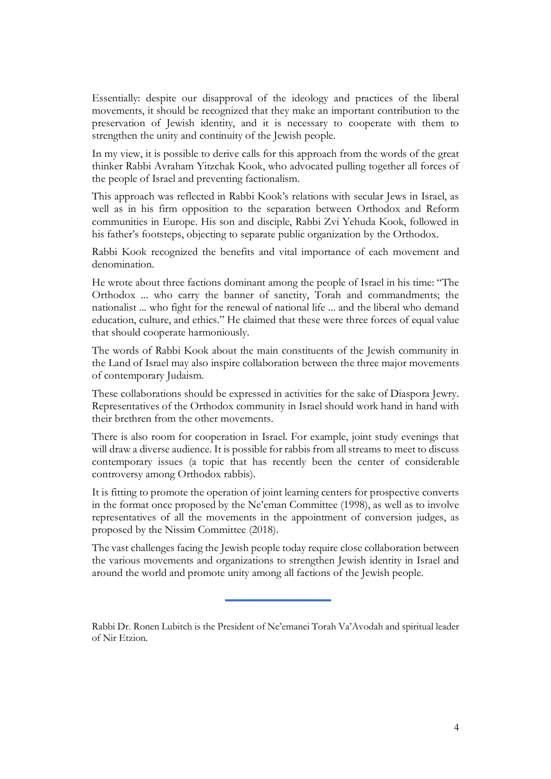Essentially: despite our disapproval of the ideology and practices of the liberal movements, it should be recognized that they make an important contribution to the preservation of Jewish identity, and it is necessary to cooperate with them to strengthen the unity and continuity of the Jewish people.

In my view, it is possible to derive calls for this approach from the words of the great thinker Rabbi Avraham Yitzchak Kook, who advocated pulling together all forces of the people of Israel and preventing factionalism.

This approach was reflected in Rabbi Kook's relations with secular Jews in Israel, as well as in his firm opposition to the separation between Orthodox and Reform communities in Europe. His son and disciple, Rabbi Zvi Yehuda Kook, followed in his father's footsteps, objecting to separate public organization by the Orthodox.

Rabbi Kook recognized the benefits and vital importance of each movement and denomination.

He wrote about three factions dominant among the people of Israel in his time: "The Orthodox ... who carry the banner of sanctity, Torah and commandments; the nationalist ... who fight for the renewal of national life ... and the liberal who demand education, culture, and ethics." He claimed that these were three forces of equal value that should cooperate harmoniously.

The words of Rabbi Kook about the main constituents of the Jewish community in the Land of Israel may also inspire collaboration between the three major movements of contemporary Judaism.

These collaborations should be expressed in activities for the sake of Diaspora Jewry. Representatives of the Orthodox community in Israel should work hand in hand with their brethren from the other movements.

There is also room for cooperation in Israel. For example, joint study evenings that will draw a diverse audience. It is possible for rabbis from all streams to meet to discuss contemporary issues (a topic that has recently been the center of considerable controversy among Orthodox rabbis).

It is fitting to promote the operation of joint learning centers for prospective converts in the format once proposed by the Ne'eman Committee (1998), as well as to involve representatives of all the movements in the appointment of conversion judges, as proposed by the Nissim Committee (2018).

The vast challenges facing the Jewish people today require close collaboration between the various movements and organizations to strengthen Jewish identity in Israel and around the world and promote unity among all factions of the Jewish people.

Rabbi Dr. Ronen Lubitch is the President of Ne'emanei Torah Va'Avodah and spiritual leader of Nir Etzion.